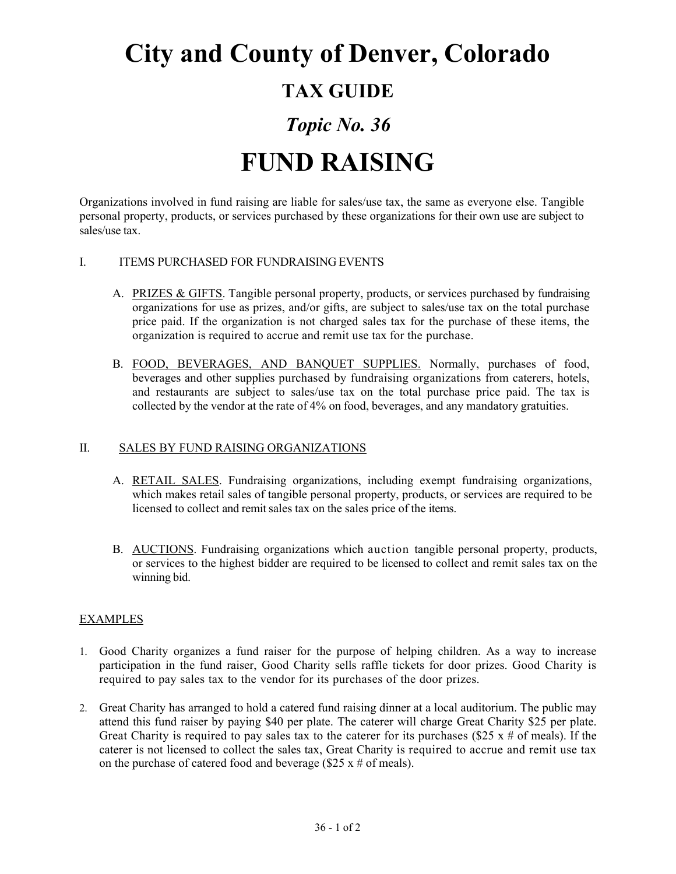## **City and County of Denver, Colorado**

### **TAX GUIDE**

## *Topic No. 36*

# **FUND RAISING**

Organizations involved in fund raising are liable for sales/use tax, the same as everyone else. Tangible personal property, products, or services purchased by these organizations for their own use are subject to sales/use tax.

### I. ITEMS PURCHASED FOR FUNDRAISING EVENTS

- A. PRIZES & GIFTS. Tangible personal property, products, or services purchased by fundraising organizations for use as prizes, and/or gifts, are subject to sales/use tax on the total purchase price paid. If the organization is not charged sales tax for the purchase of these items, the organization is required to accrue and remit use tax for the purchase.
- B. FOOD, BEVERAGES, AND BANQUET SUPPLIES. Normally, purchases of food, beverages and other supplies purchased by fundraising organizations from caterers, hotels, and restaurants are subject to sales/use tax on the total purchase price paid. The tax is collected by the vendor at the rate of 4% on food, beverages, and any mandatory gratuities.

#### II. SALES BY FUND RAISING ORGANIZATIONS

- A. RETAIL SALES. Fundraising organizations, including exempt fundraising organizations, which makes retail sales of tangible personal property, products, or services are required to be licensed to collect and remit sales tax on the sales price of the items.
- B. AUCTIONS. Fundraising organizations which auction tangible personal property, products, or services to the highest bidder are required to be licensed to collect and remit sales tax on the winning bid.

### **EXAMPLES**

- 1. Good Charity organizes a fund raiser for the purpose of helping children. As a way to increase participation in the fund raiser, Good Charity sells raffle tickets for door prizes. Good Charity is required to pay sales tax to the vendor for its purchases of the door prizes.
- 2. Great Charity has arranged to hold a catered fund raising dinner at a local auditorium. The public may attend this fund raiser by paying \$40 per plate. The caterer will charge Great Charity \$25 per plate. Great Charity is required to pay sales tax to the caterer for its purchases (\$25 x # of meals). If the caterer is not licensed to collect the sales tax, Great Charity is required to accrue and remit use tax on the purchase of catered food and beverage ( $$25 \times #$  of meals).